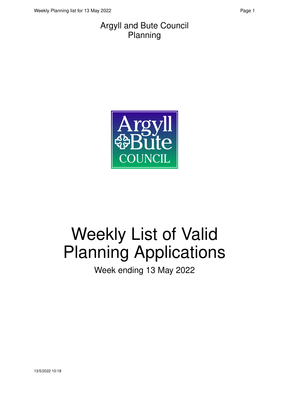#### Argyll and Bute Council Planning



# Weekly List of Valid Planning Applications

Week ending 13 May 2022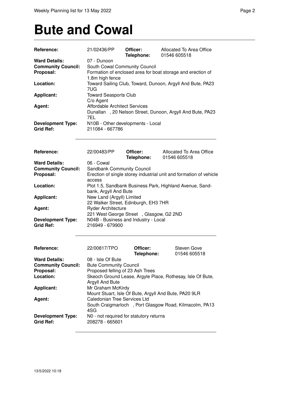### **Bute and Cowal**

| Reference:                                                     | 21/02436/PP                                                                                                                    | Officer:<br>Telephone: | Allocated To Area Office<br>01546 605518                           |  |
|----------------------------------------------------------------|--------------------------------------------------------------------------------------------------------------------------------|------------------------|--------------------------------------------------------------------|--|
| <b>Ward Details:</b><br><b>Community Council:</b><br>Proposal: | 07 - Dunoon<br>South Cowal Community Council<br>Formation of enclosed area for boat storage and erection of<br>1.8m high fence |                        |                                                                    |  |
| Location:                                                      | 7UG                                                                                                                            |                        | Toward Sailing Club, Toward, Dunoon, Argyll And Bute, PA23         |  |
| <b>Applicant:</b>                                              | <b>Toward Seasports Club</b><br>C/o Agent                                                                                      |                        |                                                                    |  |
| Agent:                                                         | <b>Affordable Architect Services</b><br>7EL                                                                                    |                        | Dunallan, 20 Nelson Street, Dunoon, Argyll And Bute, PA23          |  |
| <b>Development Type:</b><br><b>Grid Ref:</b>                   | N10B - Other developments - Local<br>211084 - 667786                                                                           |                        |                                                                    |  |
| Reference:                                                     | 22/00483/PP                                                                                                                    | Officer:<br>Telephone: | Allocated To Area Office<br>01546 605518                           |  |
| <b>Ward Details:</b>                                           | 06 - Cowal                                                                                                                     |                        |                                                                    |  |
| <b>Community Council:</b>                                      | Sandbank Community Council                                                                                                     |                        |                                                                    |  |
| Proposal:                                                      |                                                                                                                                |                        | Erection of single storey industrial unit and formation of vehicle |  |
| Location:                                                      | access<br>bank, Argyll And Bute                                                                                                |                        | Plot 1.5, Sandbank Business Park, Highland Avenue, Sand-           |  |
| <b>Applicant:</b>                                              | New Land (Argyll) Limited<br>22 Walker Street, Edinburgh, EH3 7HR                                                              |                        |                                                                    |  |
| Agent:                                                         | <b>Ryder Architecture</b>                                                                                                      |                        |                                                                    |  |
|                                                                | 221 West George Street, Glasgow, G2 2ND                                                                                        |                        |                                                                    |  |
| <b>Development Type:</b><br><b>Grid Ref:</b>                   | N04B - Business and Industry - Local<br>216949 - 679900                                                                        |                        |                                                                    |  |
| Reference:                                                     | 22/00817/TPO                                                                                                                   | Officer:<br>Telephone: | <b>Steven Gove</b><br>01546 605518                                 |  |
| <b>Ward Details:</b>                                           | 08 - Isle Of Bute                                                                                                              |                        |                                                                    |  |
| <b>Community Council:</b>                                      | <b>Bute Community Council</b>                                                                                                  |                        |                                                                    |  |
| Proposal:                                                      | Proposed felling of 23 Ash Trees                                                                                               |                        |                                                                    |  |
| Location:                                                      |                                                                                                                                |                        | Skeoch Ground Lease, Argyle Place, Rothesay, Isle Of Bute,         |  |
|                                                                | Argyll And Bute                                                                                                                |                        |                                                                    |  |
| <b>Applicant:</b>                                              | Mr Graham McKirdy                                                                                                              |                        |                                                                    |  |
| Agent:                                                         | Caledonian Tree Services Ltd                                                                                                   |                        | Mount Stuart, Isle Of Bute, Argyll And Bute, PA20 9LR              |  |
|                                                                | 4SG                                                                                                                            |                        | South Craigmarloch , Port Glasgow Road, Kilmacolm, PA13            |  |
| <b>Development Type:</b><br><b>Grid Ref:</b>                   | N0 - not required for statutory returns<br>208278 - 665601                                                                     |                        |                                                                    |  |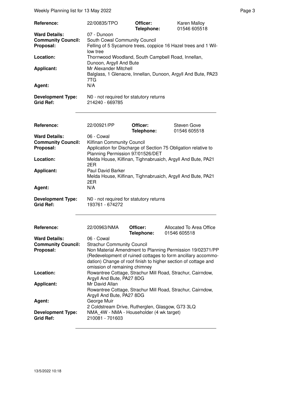| Reference:                                                                                                 | 22/00835/TPO                                                                                                                                                                                                                                                                                                        | Officer:<br>Telephone: | Karen Malloy<br>01546 605518                                                                                                                                                                                 |  |  |
|------------------------------------------------------------------------------------------------------------|---------------------------------------------------------------------------------------------------------------------------------------------------------------------------------------------------------------------------------------------------------------------------------------------------------------------|------------------------|--------------------------------------------------------------------------------------------------------------------------------------------------------------------------------------------------------------|--|--|
| <b>Ward Details:</b><br><b>Community Council:</b><br>Proposal:<br>Location:<br><b>Applicant:</b><br>Agent: | 07 - Dunoon<br>South Cowal Community Council<br>Felling of 5 Sycamore trees, coppice 16 Hazel trees and 1 Wil-<br>low tree<br>Thornwood Woodland, South Campbell Road, Innellan,<br>Dunoon, Argyll And Bute<br>Mr Alexander Mitchell<br>Balglass, 1 Glenacre, Innellan, Dunoon, Argyll And Bute, PA23<br>7TG<br>N/A |                        |                                                                                                                                                                                                              |  |  |
| <b>Development Type:</b><br><b>Grid Ref:</b>                                                               | N0 - not required for statutory returns<br>214240 - 669785                                                                                                                                                                                                                                                          |                        |                                                                                                                                                                                                              |  |  |
| Reference:                                                                                                 | 22/00921/PP                                                                                                                                                                                                                                                                                                         | Officer:               | Steven Gove                                                                                                                                                                                                  |  |  |
| <b>Ward Details:</b><br><b>Community Council:</b><br>Proposal:<br>Location:<br><b>Applicant:</b><br>Agent: | 06 - Cowal<br>Kilfinan Community Council<br>Planning Permission 97/01526/DET<br>2ER<br>Paul David Barker<br>2ER<br>N/A                                                                                                                                                                                              | Telephone:             | 01546 605518<br>Application for Discharge of Section 75 Obligation relative to<br>Melda House, Kilfinan, Tighnabruaich, Argyll And Bute, PA21<br>Melda House, Kilfinan, Tighnabruaich, Argyll And Bute, PA21 |  |  |
| <b>Development Type:</b><br><b>Grid Ref:</b>                                                               | N0 - not required for statutory returns<br>193761 - 674272                                                                                                                                                                                                                                                          |                        |                                                                                                                                                                                                              |  |  |
| Reference:                                                                                                 | 22/00963/NMA                                                                                                                                                                                                                                                                                                        | Officer:               | Allocated To Area Office                                                                                                                                                                                     |  |  |
| <b>Ward Details:</b><br><b>Community Council:</b><br>Proposal:                                             | Telephone:<br>01546 605518<br>06 - Cowal<br><b>Strachur Community Council</b><br>Non Material Amendment to Planning Permission 19/02371/PP<br>(Redevelopment of ruined cottages to form ancillary accommo-<br>dation) Change of roof finish to higher section of cottage and<br>omission of remaining chimney       |                        |                                                                                                                                                                                                              |  |  |
| Location:                                                                                                  | Argyll And Bute, PA27 8DG                                                                                                                                                                                                                                                                                           |                        | Rowantree Cottage, Strachur Mill Road, Strachur, Cairndow,                                                                                                                                                   |  |  |
| <b>Applicant:</b>                                                                                          | Mr David Allan<br>Rowantree Cottage, Strachur Mill Road, Strachur, Cairndow,                                                                                                                                                                                                                                        |                        |                                                                                                                                                                                                              |  |  |
| Agent:                                                                                                     | Argyll And Bute, PA27 8DG<br>George Muir<br>2 Coldstream Drive, Rutherglen, Glasgow, G73 3LQ                                                                                                                                                                                                                        |                        |                                                                                                                                                                                                              |  |  |
| <b>Development Type:</b><br><b>Grid Ref:</b>                                                               | NMA_4W - NMA - Householder (4 wk target)<br>210081 - 701603                                                                                                                                                                                                                                                         |                        |                                                                                                                                                                                                              |  |  |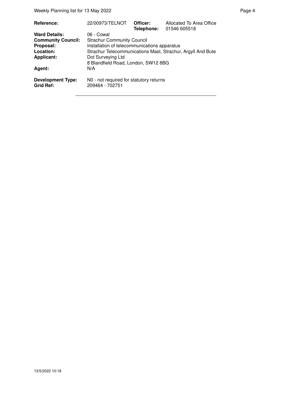| Reference:                            | 22/00973/TELNOT                                             | Officer:<br>Telephone: | Allocated To Area Office<br>01546 605518 |
|---------------------------------------|-------------------------------------------------------------|------------------------|------------------------------------------|
| <b>Ward Details:</b>                  | 06 - Cowal                                                  |                        |                                          |
| <b>Community Council:</b>             | <b>Strachur Community Council</b>                           |                        |                                          |
| Proposal:                             | Installation of telecommunications apparatus                |                        |                                          |
| Location:                             | Strachur Telecommunications Mast, Strachur, Argyll And Bute |                        |                                          |
| <b>Applicant:</b>                     | Dot Surveying Ltd                                           |                        |                                          |
|                                       | 8 Blandfield Road, London, SW12 8BG                         |                        |                                          |
| Agent:                                | N/A                                                         |                        |                                          |
| <b>Development Type:</b><br>Grid Ref: | N0 - not required for statutory returns<br>209464 - 702751  |                        |                                          |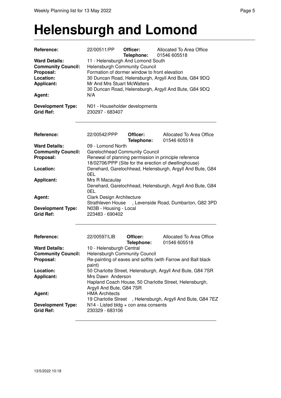#### **Helensburgh and Lomond**

| Reference:                                                                                       | 22/00511/PP                                                                                                                                                                                                                                                          | Officer:<br>Telephone: | Allocated To Area Office<br>01546 605518                   |  |  |
|--------------------------------------------------------------------------------------------------|----------------------------------------------------------------------------------------------------------------------------------------------------------------------------------------------------------------------------------------------------------------------|------------------------|------------------------------------------------------------|--|--|
| <b>Ward Details:</b><br><b>Community Council:</b><br>Proposal:<br>Location:<br><b>Applicant:</b> | 11 - Helensburgh And Lomond South<br>Helensburgh Community Council<br>Formation of dormer window to front elevation<br>30 Duncan Road, Helensburgh, Argyll And Bute, G84 9DQ<br>Mr And Mrs Stuart McWalters<br>30 Duncan Road, Helensburgh, Argyll And Bute, G84 9DQ |                        |                                                            |  |  |
| Agent:                                                                                           | N/A                                                                                                                                                                                                                                                                  |                        |                                                            |  |  |
| <b>Development Type:</b><br><b>Grid Ref:</b>                                                     | N01 - Householder developments<br>230297 - 683407                                                                                                                                                                                                                    |                        |                                                            |  |  |
| Reference:                                                                                       | 22/00542/PPP                                                                                                                                                                                                                                                         | Officer:<br>Telephone: | Allocated To Area Office<br>01546 605518                   |  |  |
| <b>Ward Details:</b><br><b>Community Council:</b><br>Proposal:                                   | 09 - Lomond North<br><b>Garelochhead Community Council</b><br>Renewal of planning permission in principle reference<br>18/02706/PPP (Site for the erection of dwellinghouse)                                                                                         |                        |                                                            |  |  |
| Location:                                                                                        | 0EL                                                                                                                                                                                                                                                                  |                        | Denehard, Garelochhead, Helensburgh, Argyll And Bute, G84  |  |  |
| <b>Applicant:</b>                                                                                | Mrs R Macaulay<br>Denehard, Garelochhead, Helensburgh, Argyll And Bute, G84<br>0EL                                                                                                                                                                                   |                        |                                                            |  |  |
| Agent:                                                                                           | Clark Design Architecture<br>Strathleven House                                                                                                                                                                                                                       |                        | , Levenside Road, Dumbarton, G82 3PD                       |  |  |
| <b>Development Type:</b><br><b>Grid Ref:</b>                                                     | N03B - Housing - Local<br>223483 - 690402                                                                                                                                                                                                                            |                        |                                                            |  |  |
| Reference:                                                                                       | 22/00597/LIB                                                                                                                                                                                                                                                         | Officer:<br>Telephone: | Allocated To Area Office<br>01546 605518                   |  |  |
| <b>Ward Details:</b>                                                                             | 10 - Helensburgh Central                                                                                                                                                                                                                                             |                        |                                                            |  |  |
| <b>Community Council:</b><br>Proposal:                                                           | <b>Helensburgh Community Council</b><br>Re-painting of eaves and soffits (with Farrow and Ball black<br>paint)                                                                                                                                                       |                        |                                                            |  |  |
| Location:<br><b>Applicant:</b>                                                                   | 50 Charlotte Street, Helensburgh, Argyll And Bute, G84 7SR<br>Mrs Dawn Anderson<br>Hapland Coach House, 50 Charlotte Street, Helensburgh,                                                                                                                            |                        |                                                            |  |  |
| Agent:                                                                                           | Argyll And Bute, G84 7SR<br><b>HMA Architects</b>                                                                                                                                                                                                                    |                        |                                                            |  |  |
| <b>Development Type:</b><br><b>Grid Ref:</b>                                                     | $N14$ - Listed bldg + con area consents<br>230329 - 683106                                                                                                                                                                                                           |                        | 19 Charlotte Street, Helensburgh, Argyll And Bute, G84 7EZ |  |  |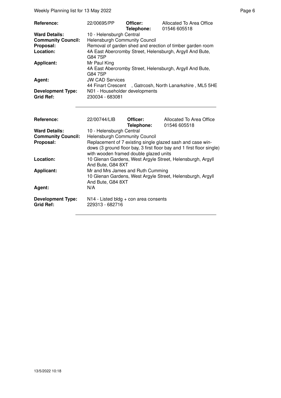Weekly Planning list for 13 May 2022 **Page 6** Page 6

| Reference:                | 22/00695/PP                          | Officer:<br>Telephone: | Allocated To Area Office<br>01546 605518                  |
|---------------------------|--------------------------------------|------------------------|-----------------------------------------------------------|
| <b>Ward Details:</b>      | 10 - Helensburgh Central             |                        |                                                           |
| <b>Community Council:</b> | <b>Helensburgh Community Council</b> |                        |                                                           |
| Proposal:                 |                                      |                        | Removal of garden shed and erection of timber garden room |
| Location:                 | G84 7SP                              |                        | 4A East Abercromby Street, Helensburgh, Argyll And Bute,  |
| <b>Applicant:</b>         | Mr Paul King                         |                        |                                                           |
|                           | G84 7SP                              |                        | 4A East Abercromby Street, Helensburgh, Argyll And Bute,  |
| Agent:                    | <b>JW CAD Services</b>               |                        |                                                           |
|                           |                                      |                        | 44 Finart Crescent , Gatrcosh, North Lanarkshire, ML5 5HE |
| <b>Development Type:</b>  | N01 - Householder developments       |                        |                                                           |
| <b>Grid Ref:</b>          | 230034 - 683081                      |                        |                                                           |
|                           |                                      |                        | .                                                         |

| Reference:                                   | 22/00744/LIB                                                                                                    | Officer:   | Allocated To Area Office                                   |
|----------------------------------------------|-----------------------------------------------------------------------------------------------------------------|------------|------------------------------------------------------------|
|                                              |                                                                                                                 | Telephone: | 01546 605518                                               |
| <b>Ward Details:</b>                         | 10 - Helensburgh Central                                                                                        |            |                                                            |
| <b>Community Council:</b>                    | <b>Helensburgh Community Council</b>                                                                            |            |                                                            |
| Proposal:                                    |                                                                                                                 |            | Replacement of 7 existing single glazed sash and case win- |
|                                              | dows (3 ground floor bay, 3 first floor bay and 1 first floor single)<br>with wooden framed double glazed units |            |                                                            |
| Location:                                    | And Bute, G84 8XT                                                                                               |            | 10 Glenan Gardens, West Argyle Street, Helensburgh, Argyll |
| <b>Applicant:</b>                            | Mr and Mrs James and Ruth Cumming                                                                               |            |                                                            |
|                                              |                                                                                                                 |            | 10 Glenan Gardens, West Argyle Street, Helensburgh, Argyll |
|                                              | And Bute, G84 8XT                                                                                               |            |                                                            |
| Agent:                                       | N/A                                                                                                             |            |                                                            |
| <b>Development Type:</b><br><b>Grid Ref:</b> | $N14$ - Listed bldg + con area consents<br>229313 - 682716                                                      |            |                                                            |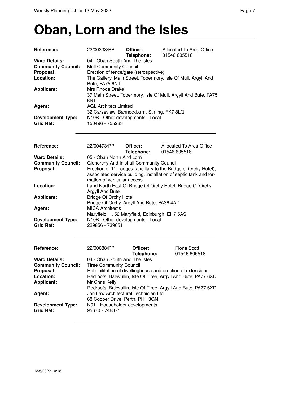#### **Oban, Lorn and the Isles**

| <b>Reference:</b>                                                                                          | 22/00333/PP                                                                                                                                                                                                                                                                                                                                                                           | Officer:                                     | Allocated To Area Office<br>01546 605518                                                                                             |  |  |
|------------------------------------------------------------------------------------------------------------|---------------------------------------------------------------------------------------------------------------------------------------------------------------------------------------------------------------------------------------------------------------------------------------------------------------------------------------------------------------------------------------|----------------------------------------------|--------------------------------------------------------------------------------------------------------------------------------------|--|--|
| <b>Ward Details:</b><br><b>Community Council:</b><br>Proposal:<br>Location:<br><b>Applicant:</b><br>Agent: | Telephone:<br>04 - Oban South And The Isles<br><b>Mull Community Council</b><br>Erection of fence/gate (retrospective)<br>The Gallery, Main Street, Tobermory, Isle Of Mull, Argyll And<br>Bute, PA75 6NT<br>Mrs Rhoda Drake<br>37 Main Street, Tobermory, Isle Of Mull, Argyll And Bute, PA75<br>6NT<br><b>AGL Architect Limited</b><br>32 Carseview, Bannockburn, Stirling, FK7 8LQ |                                              |                                                                                                                                      |  |  |
| <b>Development Type:</b><br><b>Grid Ref:</b>                                                               | 150496 - 755283                                                                                                                                                                                                                                                                                                                                                                       | N10B - Other developments - Local            |                                                                                                                                      |  |  |
| Reference:                                                                                                 | 22/00473/PP                                                                                                                                                                                                                                                                                                                                                                           | Officer:<br>Telephone:                       | Allocated To Area Office<br>01546 605518                                                                                             |  |  |
| <b>Ward Details:</b>                                                                                       | 05 - Oban North And Lorn                                                                                                                                                                                                                                                                                                                                                              |                                              |                                                                                                                                      |  |  |
| <b>Community Council:</b>                                                                                  |                                                                                                                                                                                                                                                                                                                                                                                       | Glenorchy And Inishail Community Council     |                                                                                                                                      |  |  |
| Proposal:                                                                                                  | mation of vehicular access                                                                                                                                                                                                                                                                                                                                                            |                                              | Erection of 11 Lodges (ancillary to the Bridge of Orchy Hotel),<br>associated service building, installation of septic tank and for- |  |  |
| Location:                                                                                                  | Argyll And Bute                                                                                                                                                                                                                                                                                                                                                                       |                                              | Land North East Of Bridge Of Orchy Hotel, Bridge Of Orchy,                                                                           |  |  |
| <b>Applicant:</b>                                                                                          | <b>Bridge Of Orchy Hotel</b>                                                                                                                                                                                                                                                                                                                                                          | Bridge Of Orchy, Argyll And Bute, PA36 4AD   |                                                                                                                                      |  |  |
| Agent:                                                                                                     | <b>MICA Architects</b>                                                                                                                                                                                                                                                                                                                                                                | Maryfield , 52 Maryfield, Edinburgh, EH7 5AS |                                                                                                                                      |  |  |
| <b>Development Type:</b><br><b>Grid Ref:</b>                                                               | 229856 - 739651                                                                                                                                                                                                                                                                                                                                                                       | N10B - Other developments - Local            |                                                                                                                                      |  |  |
| <b>Reference:</b>                                                                                          | 22/00688/PP                                                                                                                                                                                                                                                                                                                                                                           | Officer:<br>Telephone:                       | Fiona Scott<br>01546 605518                                                                                                          |  |  |
| <b>Ward Details:</b>                                                                                       | 04 - Oban South And The Isles                                                                                                                                                                                                                                                                                                                                                         |                                              |                                                                                                                                      |  |  |
| <b>Community Council:</b>                                                                                  | <b>Tiree Community Council</b>                                                                                                                                                                                                                                                                                                                                                        |                                              |                                                                                                                                      |  |  |
| Proposal:                                                                                                  |                                                                                                                                                                                                                                                                                                                                                                                       |                                              | Rehabilitation of dwellinghouse and erection of extensions                                                                           |  |  |
| Location:                                                                                                  |                                                                                                                                                                                                                                                                                                                                                                                       |                                              | Redroofs, Balevullin, Isle Of Tiree, Argyll And Bute, PA77 6XD                                                                       |  |  |
| <b>Applicant:</b>                                                                                          | Mr Chris Kelly                                                                                                                                                                                                                                                                                                                                                                        |                                              |                                                                                                                                      |  |  |
|                                                                                                            |                                                                                                                                                                                                                                                                                                                                                                                       |                                              | Redroofs, Balevullin, Isle Of Tiree, Argyll And Bute, PA77 6XD                                                                       |  |  |
| Agent:                                                                                                     |                                                                                                                                                                                                                                                                                                                                                                                       | Jon Law Architectural Technician Ltd         |                                                                                                                                      |  |  |
| <b>Development Type:</b><br><b>Grid Ref:</b>                                                               | 68 Cooper Drive, Perth, PH1 3GN<br>N01 - Householder developments<br>95670 - 746871                                                                                                                                                                                                                                                                                                   |                                              |                                                                                                                                      |  |  |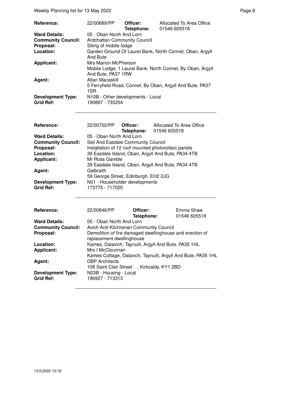| Reference:                                   | 22/00689/PP                                          | Officer:<br>Telephone: | Allocated To Area Office<br>01546 605518                   |
|----------------------------------------------|------------------------------------------------------|------------------------|------------------------------------------------------------|
| <b>Ward Details:</b>                         | 05 - Oban North And Lorn                             |                        |                                                            |
| <b>Community Council:</b>                    | <b>Ardchattan Community Council</b>                  |                        |                                                            |
| Proposal:                                    | Siting of mobile lodge                               |                        |                                                            |
| Location:                                    |                                                      |                        | Garden Ground Of Laurel Bank, North Connel, Oban, Argyll   |
|                                              | And Bute                                             |                        |                                                            |
| <b>Applicant:</b>                            | Mrs Marion McPherson                                 |                        |                                                            |
|                                              | And Bute, PA37 1RW                                   |                        | Mobile Lodge, 1 Laural Bank, North Connel, By Oban, Argyll |
| Agent:                                       | Allan Macaskill                                      |                        |                                                            |
|                                              |                                                      |                        | 5 Ferryfield Road, Connel, By Oban, Argyll And Bute, PA37  |
|                                              | 1SR                                                  |                        |                                                            |
| <b>Development Type:</b><br><b>Grid Ref:</b> | N10B - Other developments - Local<br>190897 - 735254 |                        |                                                            |

| Reference:                                   |                                                    |  | Allocated To Area Office<br>Telephone: 01546 605518 |
|----------------------------------------------|----------------------------------------------------|--|-----------------------------------------------------|
| <b>Ward Details:</b>                         | 05 - Oban North And Lorn                           |  |                                                     |
| <b>Community Council:</b>                    | Seil And Easdale Community Council                 |  |                                                     |
| Proposal:                                    |                                                    |  | Installation of 12 roof mounted photovoltaic panels |
| Location:                                    | 39 Easdale Island, Oban, Argyll And Bute, PA34 4TB |  |                                                     |
| <b>Applicant:</b>                            | Mr Ross Gamble                                     |  |                                                     |
|                                              |                                                    |  | 39 Easdale Island, Oban, Argyll And Bute, PA34 4TB  |
| Agent:                                       | Galbraith                                          |  |                                                     |
|                                              | 59 George Street, Edinburgh, EH2 2JG               |  |                                                     |
| <b>Development Type:</b><br><b>Grid Ref:</b> | N01 - Householder developments<br>173775 - 717020  |  |                                                     |

| <b>Reference:</b>         | 22/00846/PP                                                                           | Officer:<br>Telephone: | Emma Shaw<br>01546 605518 |
|---------------------------|---------------------------------------------------------------------------------------|------------------------|---------------------------|
| <b>Ward Details:</b>      | 05 - Oban North And Lorn                                                              |                        |                           |
| <b>Community Council:</b> | Avich And Kilchrenan Community Council                                                |                        |                           |
| Proposal:                 | Demolition of fire damaged dwellinghouse and erection of<br>replacement dwellinghouse |                        |                           |
| Location:                 | Kames, Dalavich, Taynuilt, Argyll And Bute, PA35 1HL                                  |                        |                           |
| <b>Applicant:</b>         | Mrs I McClounnan                                                                      |                        |                           |
|                           | Kames Cottage, Dalavich, Taynuilt, Argyll And Bute, PA35 1HL                          |                        |                           |
| Agent:                    | <b>DBP</b> Architects                                                                 |                        |                           |
|                           | 108 Saint Clair Street, Kirkcaldy, KY1 2BD                                            |                        |                           |
| <b>Development Type:</b>  | N03B - Housing - Local                                                                |                        |                           |
| <b>Grid Ref:</b>          | 196927 - 713313                                                                       |                        |                           |
|                           |                                                                                       |                        |                           |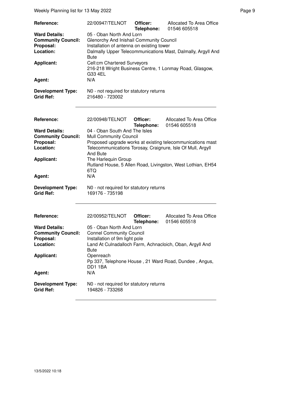| Reference:                                                                                       | 22/00947/TELNOT                                                                                                                                                                                                                 | Officer:<br>Telephone: | Allocated To Area Office<br>01546 605518                    |  |  |
|--------------------------------------------------------------------------------------------------|---------------------------------------------------------------------------------------------------------------------------------------------------------------------------------------------------------------------------------|------------------------|-------------------------------------------------------------|--|--|
| <b>Ward Details:</b><br><b>Community Council:</b><br>Proposal:<br>Location:<br><b>Applicant:</b> | 05 - Oban North And Lorn<br>Glenorchy And Inishail Community Council<br>Installation of antenna on existing tower<br>Dalmally Upper Telecommunications Mast, Dalmally, Argyll And<br><b>Bute</b><br>Cell:cm Chartered Surveyors |                        |                                                             |  |  |
|                                                                                                  | G33 4EL                                                                                                                                                                                                                         |                        | 216-218 Wright Business Centre, 1 Lonmay Road, Glasgow,     |  |  |
| Agent:                                                                                           | N/A                                                                                                                                                                                                                             |                        |                                                             |  |  |
| <b>Development Type:</b><br><b>Grid Ref:</b>                                                     | N0 - not required for statutory returns<br>216480 - 723002                                                                                                                                                                      |                        |                                                             |  |  |
| Reference:                                                                                       | 22/00948/TELNOT                                                                                                                                                                                                                 | Officer:<br>Telephone: | Allocated To Area Office<br>01546 605518                    |  |  |
| <b>Ward Details:</b><br><b>Community Council:</b>                                                | 04 - Oban South And The Isles<br><b>Mull Community Council</b>                                                                                                                                                                  |                        |                                                             |  |  |
| Proposal:                                                                                        |                                                                                                                                                                                                                                 |                        | Proposed upgrade works at existing telecommunications mast  |  |  |
| Location:                                                                                        | And Bute                                                                                                                                                                                                                        |                        | Telecommunications Torosay, Craignure, Isle Of Mull, Argyll |  |  |
| <b>Applicant:</b>                                                                                | The Harlequin Group<br>6TQ                                                                                                                                                                                                      |                        | Rutland House, 5 Allen Road, Livingston, West Lothian, EH54 |  |  |
| Agent:                                                                                           | N/A                                                                                                                                                                                                                             |                        |                                                             |  |  |
| <b>Development Type:</b><br><b>Grid Ref:</b>                                                     | N0 - not required for statutory returns<br>169176 - 735198                                                                                                                                                                      |                        |                                                             |  |  |
| Reference:                                                                                       | 22/00952/TELNOT                                                                                                                                                                                                                 | Officer:<br>Telephone: | Allocated To Area Office<br>01546 605518                    |  |  |
| <b>Ward Details:</b><br><b>Community Council:</b>                                                | 05 - Oban North And Lorn<br><b>Connel Community Council</b>                                                                                                                                                                     |                        |                                                             |  |  |
| Proposal:                                                                                        | Installation of 9m light pole                                                                                                                                                                                                   |                        |                                                             |  |  |
| Location:                                                                                        | Bute                                                                                                                                                                                                                            |                        | Land At Culnadalloch Farm, Achnacloich, Oban, Argyll And    |  |  |
| <b>Applicant:</b>                                                                                | Openreach<br>DD11BA                                                                                                                                                                                                             |                        | Pp 337, Telephone House, 21 Ward Road, Dundee, Angus,       |  |  |
| Agent:                                                                                           | N/A                                                                                                                                                                                                                             |                        |                                                             |  |  |
| <b>Development Type:</b><br><b>Grid Ref:</b>                                                     | N0 - not required for statutory returns<br>194826 - 733268                                                                                                                                                                      |                        |                                                             |  |  |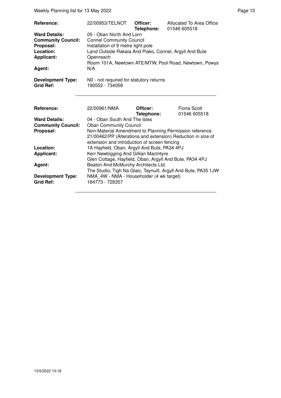Weekly Planning list for 13 May 2022 **Page 10** Page 10

| Reference:<br><b>Ward Details:</b><br><b>Community Council:</b><br>Proposal:<br>Location:<br><b>Applicant:</b><br>Agent:<br><b>Development Type:</b> | 22/00953/TELNOT<br>05 - Oban North And Lorn<br><b>Connel Community Council</b><br>Installation of 9 metre light pole<br>Land Outside Rakaia And Piako, Connel, Argyll And Bute<br>Openreach<br>N/A<br>N0 - not required for statutory returns                           | Officer:<br>Telephone: | Allocated To Area Office<br>01546 605518<br>Room 101A, Newtown ATE/MTW, Pool Road, Newtown, Powys |  |
|------------------------------------------------------------------------------------------------------------------------------------------------------|-------------------------------------------------------------------------------------------------------------------------------------------------------------------------------------------------------------------------------------------------------------------------|------------------------|---------------------------------------------------------------------------------------------------|--|
| <b>Grid Ref:</b><br>Reference:                                                                                                                       | 190552 - 734058<br>22/00961/NMA                                                                                                                                                                                                                                         | Officer:               | Fiona Scott                                                                                       |  |
| <b>Ward Details:</b><br><b>Community Council:</b><br>Proposal:                                                                                       | Telephone:<br>01546 605518<br>04 - Oban South And The Isles<br><b>Oban Community Council</b><br>Non-Material Amendment to Planning Permission reference<br>21/00462/PP (Alterations and extension) Reduction in size of<br>extension and introduction of screen fencing |                        |                                                                                                   |  |
| Location:<br><b>Applicant:</b><br>Agent:                                                                                                             | 1A Hayfield, Oban, Argyll And Bute, PA34 4PJ<br>Kerr Newbigging And Gillian MacIntyre<br>Glen Cottage, Hayfield, Oban, Argyll And Bute, PA34 4PJ<br>Beaton And McMurchy Architects Ltd.<br>The Studio, Tigh Na Glaic, Taynuilt, Argyll And Bute, PA35 1JW               |                        |                                                                                                   |  |
| <b>Development Type:</b><br>Grid Ref:                                                                                                                | NMA_4W - NMA - Householder (4 wk target)<br>184773 - 728357                                                                                                                                                                                                             |                        |                                                                                                   |  |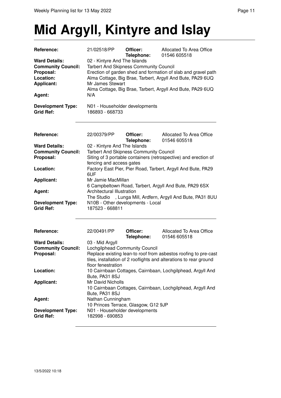## **Mid Argyll, Kintyre and Islay**

| Reference:                                   | 21/02518/PP                                       | Officer:<br>Telephone: | Allocated To Area Office<br>01546 605518                           |
|----------------------------------------------|---------------------------------------------------|------------------------|--------------------------------------------------------------------|
| <b>Ward Details:</b>                         | 02 - Kintyre And The Islands                      |                        |                                                                    |
| <b>Community Council:</b>                    | <b>Tarbert And Skipness Community Council</b>     |                        |                                                                    |
| Proposal:                                    |                                                   |                        | Erection of garden shed and formation of slab and gravel path      |
| Location:                                    |                                                   |                        | Alma Cottage, Big Brae, Tarbert, Argyll And Bute, PA29 6UQ         |
| <b>Applicant:</b>                            | Mr James Stewart                                  |                        |                                                                    |
|                                              |                                                   |                        | Alma Cottage, Big Brae, Tarbert, Argyll And Bute, PA29 6UQ         |
| Agent:                                       | N/A                                               |                        |                                                                    |
| <b>Development Type:</b>                     | N01 - Householder developments                    |                        |                                                                    |
| <b>Grid Ref:</b>                             | 186893 - 668733                                   |                        |                                                                    |
| Reference:                                   | 22/00379/PP                                       | Officer:               | Allocated To Area Office                                           |
|                                              |                                                   | Telephone:             | 01546 605518                                                       |
| <b>Ward Details:</b>                         | 02 - Kintyre And The Islands                      |                        |                                                                    |
| <b>Community Council:</b>                    | <b>Tarbert And Skipness Community Council</b>     |                        |                                                                    |
| Proposal:                                    |                                                   |                        | Siting of 3 portable containers (retrospective) and erection of    |
|                                              | fencing and access gates                          |                        |                                                                    |
| Location:                                    | 6UF                                               |                        | Factory East Pier, Pier Road, Tarbert, Argyll And Bute, PA29       |
| <b>Applicant:</b>                            | Mr Jamie MacMillan                                |                        |                                                                    |
|                                              |                                                   |                        | 6 Campbeltown Road, Tarbert, Argyll And Bute, PA29 6SX             |
| Agent:                                       | Architectural Illustration                        |                        |                                                                    |
|                                              |                                                   |                        | The Studio , Lunga Mill, Ardfern, Argyll And Bute, PA31 8UU        |
| <b>Development Type:</b>                     | N10B - Other developments - Local                 |                        |                                                                    |
| <b>Grid Ref:</b>                             | 187523 - 668811                                   |                        |                                                                    |
|                                              |                                                   |                        |                                                                    |
| Reference:                                   | 22/00491/PP                                       | Officer:<br>Telephone: | Allocated To Area Office<br>01546 605518                           |
| <b>Ward Details:</b>                         | 03 - Mid Argyll                                   |                        |                                                                    |
| <b>Community Council:</b>                    | Lochgilphead Community Council                    |                        |                                                                    |
| Proposal:                                    |                                                   |                        | Replace existing lean-to roof from asbestos roofing to pre-cast    |
|                                              |                                                   |                        | tiles, installation of 2 rooflights and alterations to rear ground |
|                                              | floor fenestration                                |                        |                                                                    |
| Location:                                    |                                                   |                        | 10 Cairnbaan Cottages, Cairnbaan, Lochgilphead, Argyll And         |
|                                              | Bute, PA31 8SJ                                    |                        |                                                                    |
| <b>Applicant:</b>                            | Mr David Nicholls                                 |                        |                                                                    |
|                                              |                                                   |                        | 10 Cairnbaan Cottages, Cairnbaan, Lochgilphead, Argyll And         |
|                                              | Bute, PA31 8SJ                                    |                        |                                                                    |
| Agent:                                       | Nathan Cunningham                                 |                        |                                                                    |
|                                              | 10 Princes Terrace, Glasgow, G12 9JP              |                        |                                                                    |
| <b>Development Type:</b><br><b>Grid Ref:</b> | N01 - Householder developments<br>182998 - 690853 |                        |                                                                    |
|                                              |                                                   |                        |                                                                    |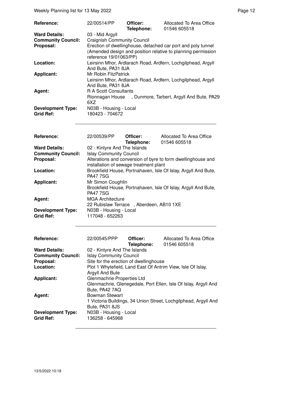Weekly Planning list for 13 May 2022 **Page 12** Page 12

| Reference:                                   | 22/00514/PP                                | Officer:<br>Telephone: | Allocated To Area Office<br>01546 605518                                                                                     |
|----------------------------------------------|--------------------------------------------|------------------------|------------------------------------------------------------------------------------------------------------------------------|
| <b>Ward Details:</b>                         | 03 - Mid Argyll                            |                        |                                                                                                                              |
| <b>Community Council:</b>                    | <b>Craignish Community Council</b>         |                        |                                                                                                                              |
| Proposal:                                    | reference 19/01063/PP)                     |                        | Erection of dwellinghouse, detached car port and poly tunnel<br>(Amended design and position relative to planning permission |
| Location:                                    | And Bute, PA31 8JA                         |                        | Leirsinn Mhor, Ardlarach Road, Ardfern, Lochgilphead, Argyll                                                                 |
| <b>Applicant:</b>                            | Mr Robin FitzPatrick<br>And Bute, PA31 8JA |                        | Leirsinn Mhor, Ardlarach Road, Ardfern, Lochgilphead, Argyll                                                                 |
| Agent:                                       | <b>R A Scott Consultants</b><br>6XZ        |                        | Rionnagan House, Dunmore, Tarbert, Argyll And Bute, PA29                                                                     |
| <b>Development Type:</b><br><b>Grid Ref:</b> | N03B - Housing - Local<br>180423 - 704672  |                        |                                                                                                                              |

| Reference:                                   | 22/00539/PP                                                        | <b>Officer:</b><br>Telephone: | Allocated To Area Office<br>01546 605518                       |
|----------------------------------------------|--------------------------------------------------------------------|-------------------------------|----------------------------------------------------------------|
| <b>Ward Details:</b>                         | 02 - Kintyre And The Islands                                       |                               |                                                                |
| <b>Community Council:</b>                    | <b>Islay Community Council</b>                                     |                               |                                                                |
| Proposal:                                    | installation of sewage treatment plant                             |                               | Alterations and conversion of byre to form dwellinghouse and   |
| Location:                                    | <b>PA477SG</b>                                                     |                               | Brookfield House, Portnahaven, Isle Of Islay, Argyll And Bute, |
| <b>Applicant:</b>                            | Mr Simon Coughlin<br><b>PA477SG</b>                                |                               | Brookfield House, Portnahaven, Isle Of Islay, Argyll And Bute, |
| Agent:                                       | <b>MGA Architecture</b><br>22 Rubislaw Terrace, Aberdeen, AB10 1XE |                               |                                                                |
| <b>Development Type:</b><br><b>Grid Ref:</b> | N03B - Housing - Local<br>117048 - 652263                          |                               |                                                                |

| Reference:                | 22/00545/PPP                           | Officer:   | Allocated To Area Office                                        |
|---------------------------|----------------------------------------|------------|-----------------------------------------------------------------|
|                           |                                        | Telephone: | 01546 605518                                                    |
| <b>Ward Details:</b>      | 02 - Kintyre And The Islands           |            |                                                                 |
| <b>Community Council:</b> | <b>Islay Community Council</b>         |            |                                                                 |
| Proposal:                 | Site for the erection of dwellinghouse |            |                                                                 |
| Location:                 |                                        |            | Plot 1 Whytefield, Land East Of Antrim View, Isle Of Islay,     |
|                           | Argyll And Bute                        |            |                                                                 |
| <b>Applicant:</b>         | Glenmachrie Properties Ltd             |            |                                                                 |
|                           |                                        |            | Glenmachrie, Glenegedale, Port Ellen, Isle Of Islay, Argyll And |
|                           | Bute, PA42 7AQ                         |            |                                                                 |
| Agent:                    | <b>Bowman Stewart</b>                  |            |                                                                 |
|                           |                                        |            | 1 Victoria Buildings, 34 Union Street, Lochgilphead, Argyll And |
|                           | Bute, PA31 8JS                         |            |                                                                 |
| <b>Development Type:</b>  | N03B - Housing - Local                 |            |                                                                 |
| <b>Grid Ref:</b>          | 136258 - 645968                        |            |                                                                 |
|                           |                                        |            |                                                                 |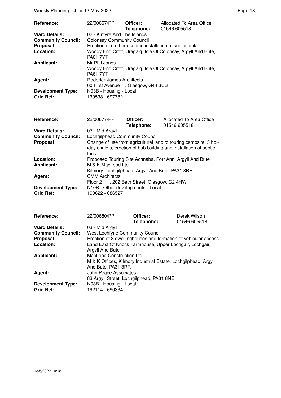Weekly Planning list for 13 May 2022 **Page 13** Page 13

| <b>Reference:</b>                            | 22/00667/PP                                                    | Officer:<br>Telephone: | Allocated To Area Office<br>01546 605518                     |
|----------------------------------------------|----------------------------------------------------------------|------------------------|--------------------------------------------------------------|
| <b>Ward Details:</b>                         | 02 - Kintyre And The Islands                                   |                        |                                                              |
| <b>Community Council:</b>                    | <b>Colonsay Community Council</b>                              |                        |                                                              |
| Proposal:                                    |                                                                |                        | Erection of croft house and installation of septic tank      |
| Location:                                    | <b>PA61 7YT</b>                                                |                        | Woody End Croft, Uragaig, Isle Of Colonsay, Argyll And Bute, |
| <b>Applicant:</b>                            | Mr Phil Jones<br><b>PA61 7YT</b>                               |                        | Woody End Croft, Uragaig, Isle Of Colonsay, Argyll And Bute, |
| Agent:                                       | Roderick James Architects<br>60 First Avenue, Glasgow, G44 3UB |                        |                                                              |
| <b>Development Type:</b><br><b>Grid Ref:</b> | N03B - Housing - Local<br>139538 - 697782                      |                        |                                                              |

| Reference:                                   | 22/00677/PP                                              | Officer:<br>Telephone: | Allocated To Area Office<br>01546 605518                                                                                              |  |
|----------------------------------------------|----------------------------------------------------------|------------------------|---------------------------------------------------------------------------------------------------------------------------------------|--|
| <b>Ward Details:</b>                         | 03 - Mid Argyll                                          |                        |                                                                                                                                       |  |
| <b>Community Council:</b>                    | Lochgilphead Community Council                           |                        |                                                                                                                                       |  |
| Proposal:                                    | tank                                                     |                        | Change of use from agricultural land to touring campsite, 3 hol-<br>iday chalets, erection of hub building and installation of septic |  |
| Location:                                    | Proposed Touring Site Achnaba, Port Ann, Argyll And Bute |                        |                                                                                                                                       |  |
| <b>Applicant:</b>                            | M & K MacLeod Ltd                                        |                        |                                                                                                                                       |  |
|                                              | Kilmory, Lochgilphead, Argyll And Bute, PA31 8RR         |                        |                                                                                                                                       |  |
| Agent:                                       | <b>CMM Architects</b>                                    |                        |                                                                                                                                       |  |
|                                              | Floor 2, 202 Bath Street, Glasgow, G2 4HW                |                        |                                                                                                                                       |  |
| <b>Development Type:</b><br><b>Grid Ref:</b> | N10B - Other developments - Local<br>190622 - 686527     |                        |                                                                                                                                       |  |

| <b>Reference:</b>                            | 22/00680/PP                                                                                                             | Officer:<br>Telephone: | Derek Wilson<br>01546 605518 |
|----------------------------------------------|-------------------------------------------------------------------------------------------------------------------------|------------------------|------------------------------|
| <b>Ward Details:</b>                         | 03 - Mid Argyll                                                                                                         |                        |                              |
| <b>Community Council:</b>                    | <b>West Lochfyne Community Council</b>                                                                                  |                        |                              |
| Proposal:                                    | Erection of 8 dwellinghouses and formation of vehicular access                                                          |                        |                              |
| Location:                                    | Land East Of Knock Farmhouse, Upper Lochgair, Lochgair,<br>Argyll And Bute                                              |                        |                              |
| <b>Applicant:</b>                            | <b>MacLeod Construction Ltd</b><br>M & K Offices, Kilmory Industrial Estate, Lochgilphead, Argyll<br>And Bute, PA31 8RR |                        |                              |
| Agent:                                       | John Peace Associates<br>83 Argyll Street, Lochgilphead, PA31 8NE                                                       |                        |                              |
| <b>Development Type:</b><br><b>Grid Ref:</b> | N03B - Housing - Local<br>192114 - 690334                                                                               |                        |                              |